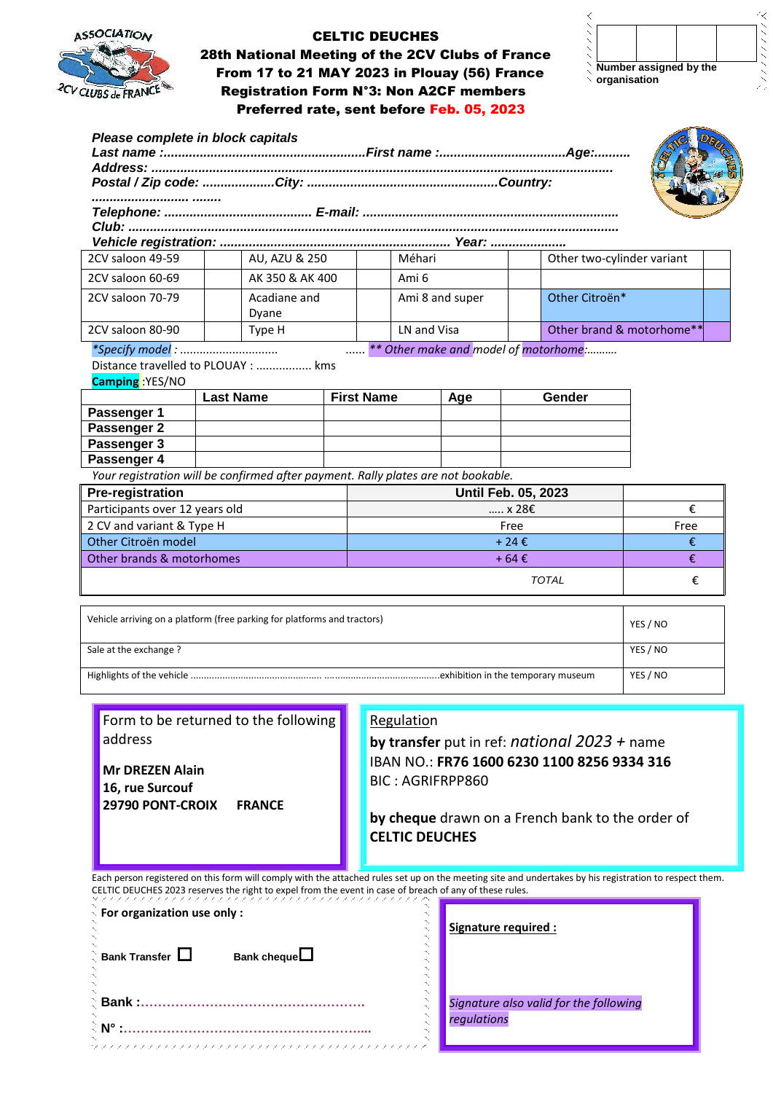

 28th National Meeting of the 2CV Clubs of France From 17 to 21 MAY 2023 in Plouay (56) France  $2CVCUBS_{de}FRANCE$  Registration Form N°3: Non A2CF members Preferred rate, sent before Feb. 05, 2023

**Number assigned by the organisation**

₹

| 2CV saloon 49-59               | AU, AZU & 250                                                                     |                   | Méhari                     |     | Other two-cylinder variant            |                           |  |
|--------------------------------|-----------------------------------------------------------------------------------|-------------------|----------------------------|-----|---------------------------------------|---------------------------|--|
| 2CV saloon 60-69               | AK 350 & AK 400                                                                   |                   | Ami <sub>6</sub>           |     |                                       |                           |  |
| 2CV saloon 70-79               | Acadiane and                                                                      |                   | Ami 8 and super            |     | Other Citroën*                        |                           |  |
|                                | Dyane                                                                             |                   |                            |     |                                       |                           |  |
| 2CV saloon 80-90               | Type H                                                                            |                   | LN and Visa                |     |                                       | Other brand & motorhome** |  |
|                                | *Specify model:                                                                   |                   |                            |     | ** Other make and model of motorhome: |                           |  |
|                                | Distance travelled to PLOUAY :  kms                                               |                   |                            |     |                                       |                           |  |
| <b>Camping</b> :YES/NO         |                                                                                   |                   |                            |     |                                       |                           |  |
|                                | <b>Last Name</b>                                                                  | <b>First Name</b> |                            | Age | Gender                                |                           |  |
| Passenger 1                    |                                                                                   |                   |                            |     |                                       |                           |  |
| Passenger 2                    |                                                                                   |                   |                            |     |                                       |                           |  |
| Passenger 3                    |                                                                                   |                   |                            |     |                                       |                           |  |
| Passenger 4                    |                                                                                   |                   |                            |     |                                       |                           |  |
|                                | Your registration will be confirmed after payment. Rally plates are not bookable. |                   |                            |     |                                       |                           |  |
| <b>Pre-registration</b>        |                                                                                   |                   | <b>Until Feb. 05, 2023</b> |     |                                       |                           |  |
| Participants over 12 years old |                                                                                   |                   | x 28E                      |     |                                       | €                         |  |
| 2 CV and variant & Type H      |                                                                                   |                   | Free                       |     |                                       | Free                      |  |
| Other Citroën model            |                                                                                   |                   | +24€                       |     |                                       | €                         |  |
| Other brands & motorhomes      |                                                                                   |                   | $+64E$                     |     |                                       | €                         |  |
|                                |                                                                                   |                   |                            |     | <b>TOTAL</b>                          | €                         |  |
|                                |                                                                                   |                   |                            |     |                                       |                           |  |
|                                | Vehicle arriving on a platform (free parking for platforms and tractors)          |                   |                            |     |                                       | YES / NO                  |  |
|                                | Sale at the exchange?                                                             |                   |                            |     |                                       |                           |  |

Highlights of the vehicle .................................................. ............................................exhibition in the temporary museum YES / NO

**Mr DREZEN Alain 16, rue Surcouf**

Form to be returned to the following address

**29790 PONT-CROIX FRANCE**

#### Regulation

**by transfer** put in ref: *national 2023 +* name IBAN NO.: **FR76 1600 6230 1100 8256 9334 316** BIC : AGRIFRPP860

**by cheque** drawn on a French bank to the order of **CELTIC DEUCHES**

Each person registered on this form will comply with the attached rules set up on the meeting site and undertakes by his registration to respect them. CELTIC DEUCHES 2023 reserves the right to expel from the event in case of breach of any of these rules.

ファンファン ファンファング

| $\frac{1}{\sqrt{2}}$ For organization use only :                                    |                       |  |  |  |  |
|-------------------------------------------------------------------------------------|-----------------------|--|--|--|--|
| $\stackrel{\scriptscriptstyle >}{\phantom{}_{\sim}}$ Bank Transfer $\,\Box\,$<br>Ń, | Bank cheque $\square$ |  |  |  |  |
| ् Bank :……………………………………                                                              |                       |  |  |  |  |
|                                                                                     |                       |  |  |  |  |

**Signature required :**

*Signature also valid for the following regulations*

ヘンパンパンズ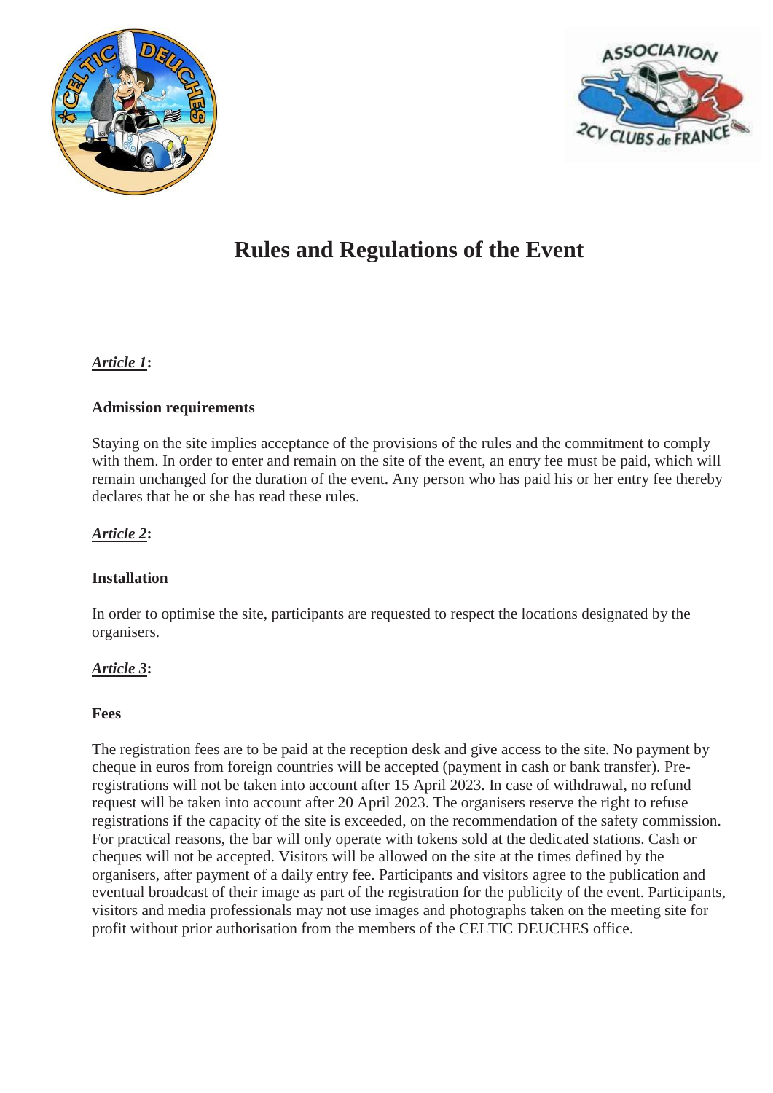



# **Rules and Regulations of the Event**

# *Article 1***:**

#### **Admission requirements**

Staying on the site implies acceptance of the provisions of the rules and the commitment to comply with them. In order to enter and remain on the site of the event, an entry fee must be paid, which will remain unchanged for the duration of the event. Any person who has paid his or her entry fee thereby declares that he or she has read these rules.

#### *Article 2***:**

#### **Installation**

In order to optimise the site, participants are requested to respect the locations designated by the organisers.

#### *Article 3***:**

#### **Fees**

The registration fees are to be paid at the reception desk and give access to the site. No payment by cheque in euros from foreign countries will be accepted (payment in cash or bank transfer). Preregistrations will not be taken into account after 15 April 2023. In case of withdrawal, no refund request will be taken into account after 20 April 2023. The organisers reserve the right to refuse registrations if the capacity of the site is exceeded, on the recommendation of the safety commission. For practical reasons, the bar will only operate with tokens sold at the dedicated stations. Cash or cheques will not be accepted. Visitors will be allowed on the site at the times defined by the organisers, after payment of a daily entry fee. Participants and visitors agree to the publication and eventual broadcast of their image as part of the registration for the publicity of the event. Participants, visitors and media professionals may not use images and photographs taken on the meeting site for profit without prior authorisation from the members of the CELTIC DEUCHES office.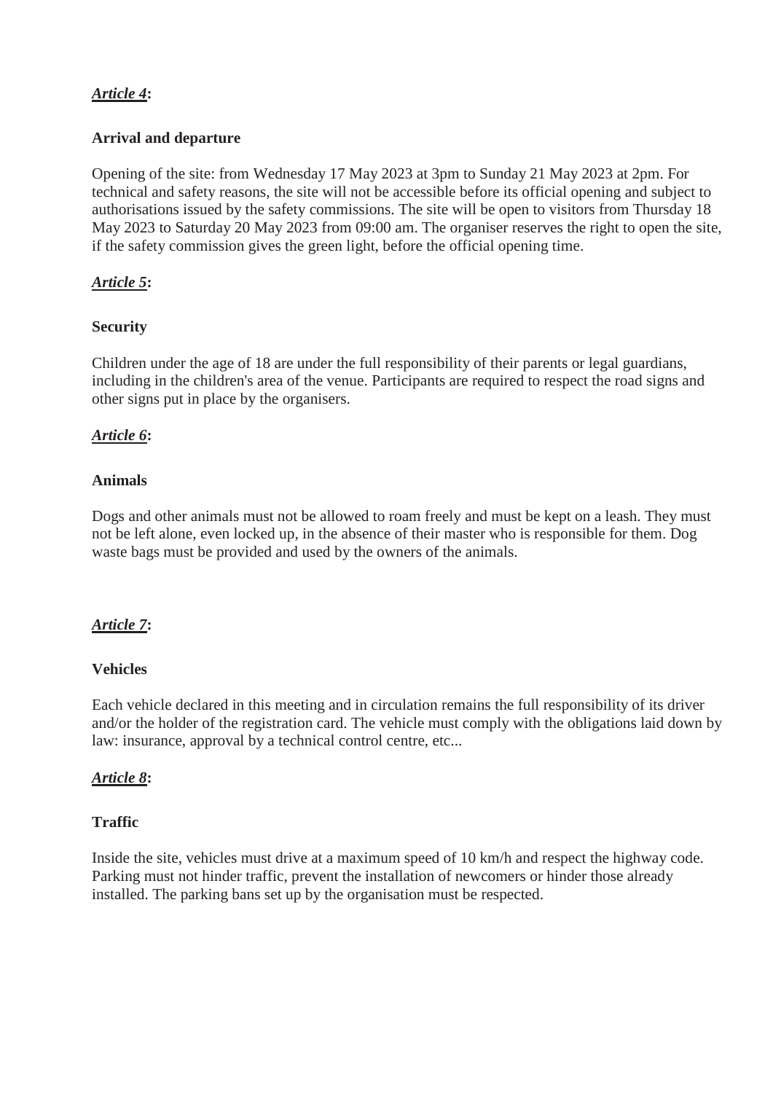# *Article 4***:**

### **Arrival and departure**

Opening of the site: from Wednesday 17 May 2023 at 3pm to Sunday 21 May 2023 at 2pm. For technical and safety reasons, the site will not be accessible before its official opening and subject to authorisations issued by the safety commissions. The site will be open to visitors from Thursday 18 May 2023 to Saturday 20 May 2023 from 09:00 am. The organiser reserves the right to open the site, if the safety commission gives the green light, before the official opening time.

# *Article 5***:**

#### **Security**

Children under the age of 18 are under the full responsibility of their parents or legal guardians, including in the children's area of the venue. Participants are required to respect the road signs and other signs put in place by the organisers.

# *Article 6***:**

#### **Animals**

Dogs and other animals must not be allowed to roam freely and must be kept on a leash. They must not be left alone, even locked up, in the absence of their master who is responsible for them. Dog waste bags must be provided and used by the owners of the animals.

#### *Article 7***:**

#### **Vehicles**

Each vehicle declared in this meeting and in circulation remains the full responsibility of its driver and/or the holder of the registration card. The vehicle must comply with the obligations laid down by law: insurance, approval by a technical control centre, etc...

#### *Article 8***:**

#### **Traffic**

Inside the site, vehicles must drive at a maximum speed of 10 km/h and respect the highway code. Parking must not hinder traffic, prevent the installation of newcomers or hinder those already installed. The parking bans set up by the organisation must be respected.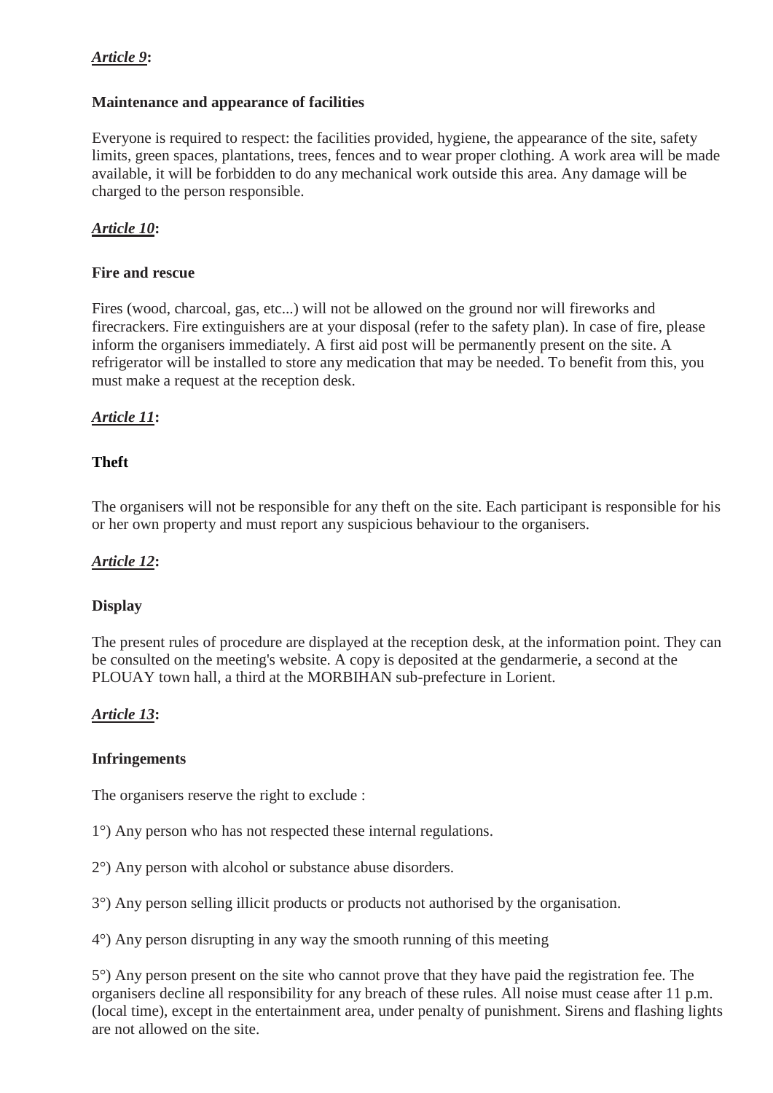# *Article 9***:**

#### **Maintenance and appearance of facilities**

Everyone is required to respect: the facilities provided, hygiene, the appearance of the site, safety limits, green spaces, plantations, trees, fences and to wear proper clothing. A work area will be made available, it will be forbidden to do any mechanical work outside this area. Any damage will be charged to the person responsible.

# *Article 10***:**

# **Fire and rescue**

Fires (wood, charcoal, gas, etc...) will not be allowed on the ground nor will fireworks and firecrackers. Fire extinguishers are at your disposal (refer to the safety plan). In case of fire, please inform the organisers immediately. A first aid post will be permanently present on the site. A refrigerator will be installed to store any medication that may be needed. To benefit from this, you must make a request at the reception desk.

# *Article 11***:**

# **Theft**

The organisers will not be responsible for any theft on the site. Each participant is responsible for his or her own property and must report any suspicious behaviour to the organisers.

#### *Article 12***:**

# **Display**

The present rules of procedure are displayed at the reception desk, at the information point. They can be consulted on the meeting's website. A copy is deposited at the gendarmerie, a second at the PLOUAY town hall, a third at the MORBIHAN sub-prefecture in Lorient.

# *Article 13***:**

#### **Infringements**

The organisers reserve the right to exclude :

1°) Any person who has not respected these internal regulations.

2°) Any person with alcohol or substance abuse disorders.

3°) Any person selling illicit products or products not authorised by the organisation.

4°) Any person disrupting in any way the smooth running of this meeting

5°) Any person present on the site who cannot prove that they have paid the registration fee. The organisers decline all responsibility for any breach of these rules. All noise must cease after 11 p.m. (local time), except in the entertainment area, under penalty of punishment. Sirens and flashing lights are not allowed on the site.